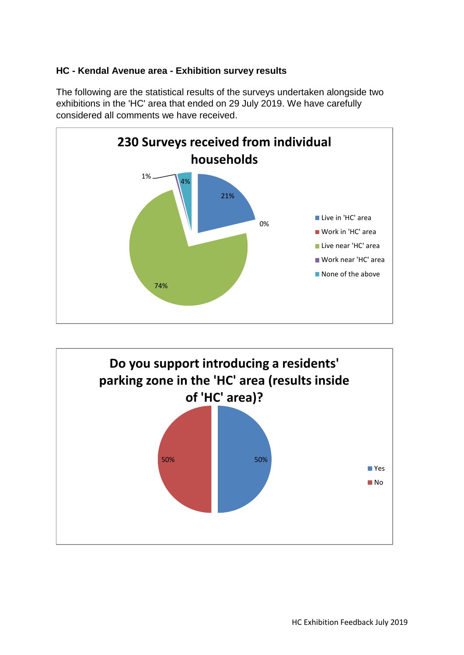## **HC - Kendal Avenue area - Exhibition survey results**

The following are the statistical results of the surveys undertaken alongside two exhibitions in the 'HC' area that ended on 29 July 2019. We have carefully considered all comments we have received.



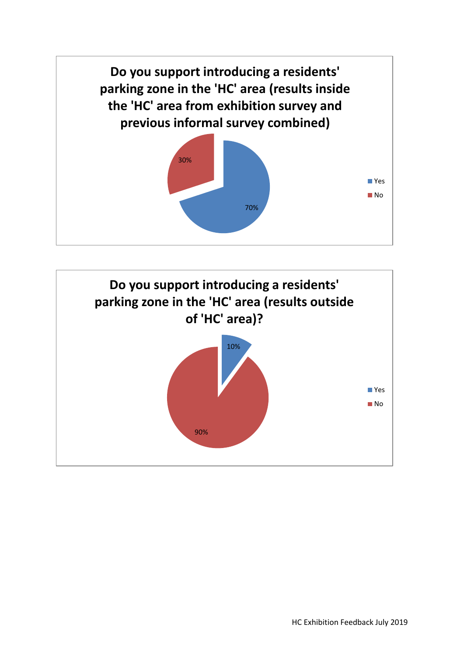

![](_page_1_Figure_1.jpeg)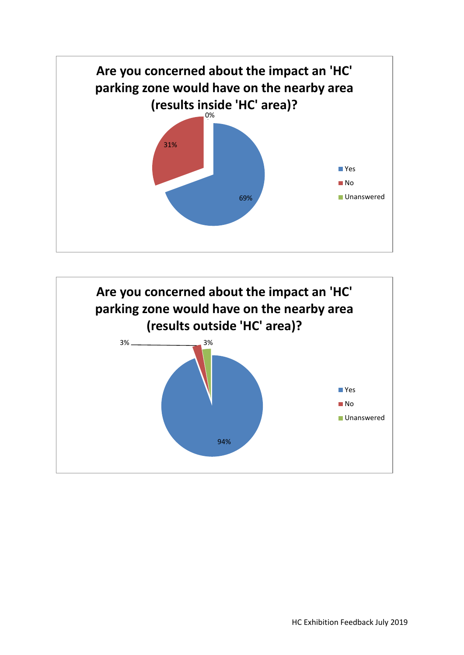![](_page_2_Figure_0.jpeg)

![](_page_2_Figure_1.jpeg)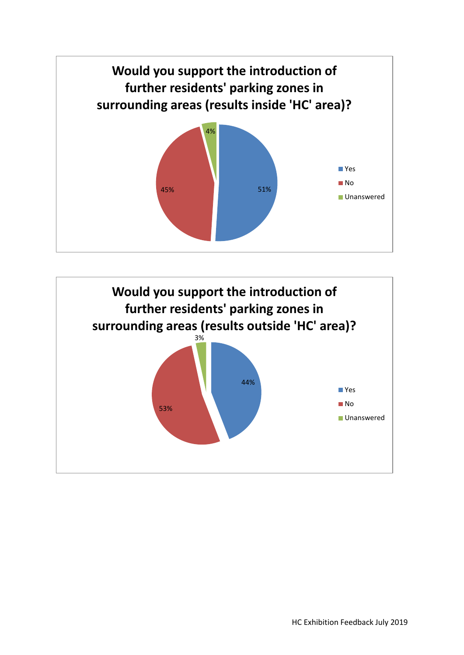![](_page_3_Figure_0.jpeg)

![](_page_3_Figure_1.jpeg)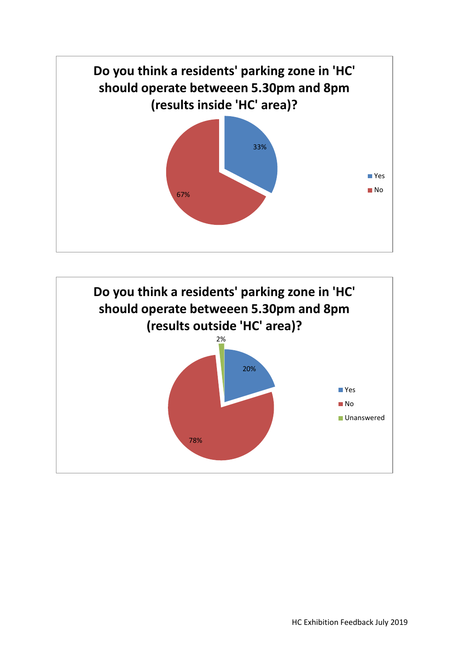![](_page_4_Figure_0.jpeg)

![](_page_4_Figure_1.jpeg)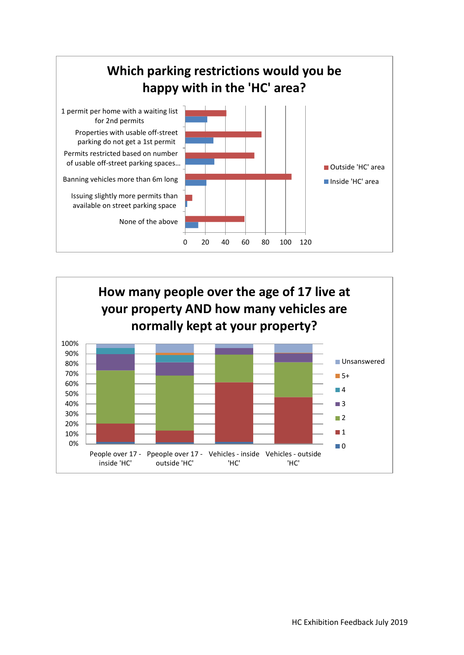![](_page_5_Figure_0.jpeg)

![](_page_5_Figure_1.jpeg)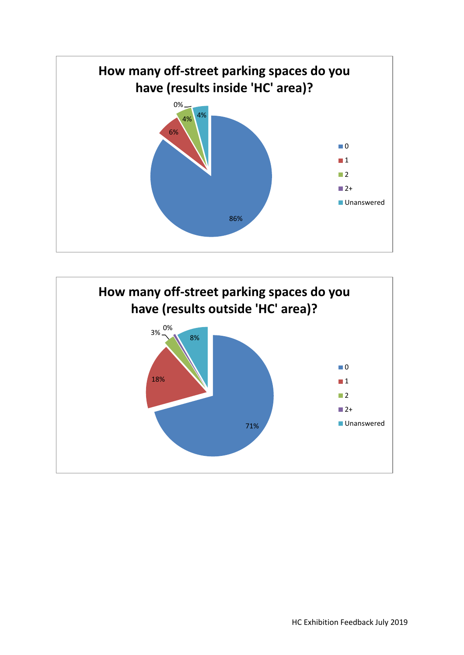![](_page_6_Figure_0.jpeg)

![](_page_6_Figure_1.jpeg)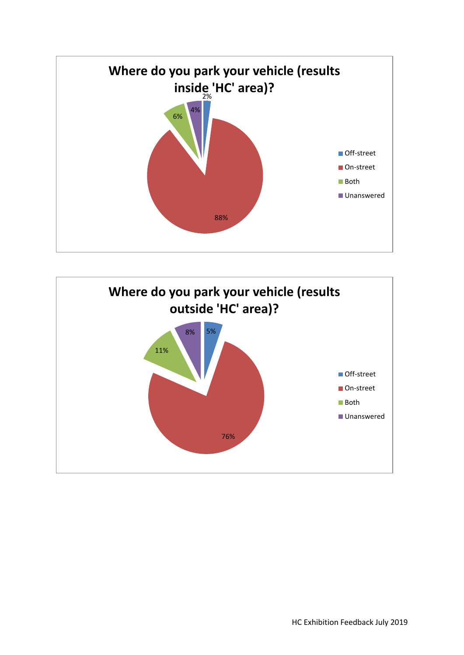![](_page_7_Figure_0.jpeg)

![](_page_7_Figure_1.jpeg)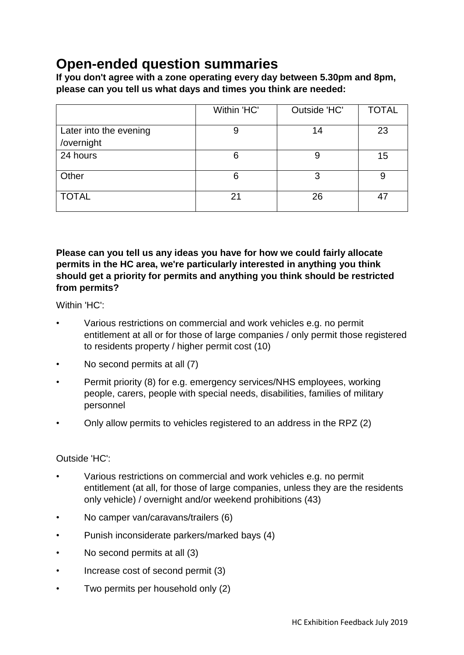## **Open-ended question summaries**

**If you don't agree with a zone operating every day between 5.30pm and 8pm, please can you tell us what days and times you think are needed:**

|                                      | Within 'HC' | Outside 'HC' | <b>TOTAL</b> |
|--------------------------------------|-------------|--------------|--------------|
| Later into the evening<br>/overnight |             | 14           | 23           |
| 24 hours                             | 6           |              | 15           |
| Other                                | 6           | 3            |              |
| <b>TOTAL</b>                         | 21          | 26           |              |

**Please can you tell us any ideas you have for how we could fairly allocate permits in the HC area, we're particularly interested in anything you think should get a priority for permits and anything you think should be restricted from permits?** 

Within 'HC':

- Various restrictions on commercial and work vehicles e.g. no permit entitlement at all or for those of large companies / only permit those registered to residents property / higher permit cost (10)
- No second permits at all (7)
- Permit priority (8) for e.g. emergency services/NHS employees, working people, carers, people with special needs, disabilities, families of military personnel
- Only allow permits to vehicles registered to an address in the RPZ (2)

## Outside 'HC':

- Various restrictions on commercial and work vehicles e.g. no permit entitlement (at all, for those of large companies, unless they are the residents only vehicle) / overnight and/or weekend prohibitions (43)
- No camper van/caravans/trailers (6)
- Punish inconsiderate parkers/marked bays (4)
- No second permits at all (3)
- Increase cost of second permit (3)
- Two permits per household only (2)